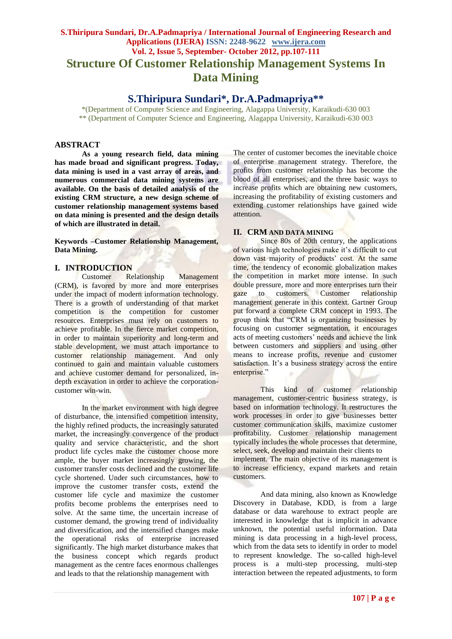# **S.Thiripura Sundari, Dr.A.Padmapriya / International Journal of Engineering Research and Applications (IJERA) ISSN: 2248-9622 www.ijera.com Vol. 2, Issue 5, September- October 2012, pp.107-111 Structure Of Customer Relationship Management Systems In Data Mining**

# **S.Thiripura Sundari\*, Dr.A.Padmapriya\*\***

\*(Department of Computer Science and Engineering, Alagappa University, Karaikudi-630 003 \*\* (Department of Computer Science and Engineering, Alagappa University, Karaikudi-630 003

### **ABSTRACT**

**As a young research field, data mining has made broad and significant progress. Today, data mining is used in a vast array of areas, and numerous commercial data mining systems are available. On the basis of detailed analysis of the existing CRM structure, a new design scheme of customer relationship management systems based on data mining is presented and the design details of which are illustrated in detail.**

**Keywords –Customer Relationship Management, Data Mining.**

# **I. INTRODUCTION**

Customer Relationship Management (CRM), is favored by more and more enterprises under the impact of modern information technology. There is a growth of understanding of that market competition is the competition for customer resources. Enterprises must rely on customers to achieve profitable. In the fierce market competition, in order to maintain superiority and long-term and stable development, we must attach importance to customer relationship management. And only continued to gain and maintain valuable customers and achieve customer demand for personalized, indepth excavation in order to achieve the corporationcustomer win-win.

In the market environment with high degree of disturbance, the intensified competition intensity, the highly refined products, the increasingly saturated market, the increasingly convergence of the product quality and service characteristic, and the short product life cycles make the customer choose more ample, the buyer market increasingly growing, the customer transfer costs declined and the customer life cycle shortened. Under such circumstances, how to improve the customer transfer costs, extend the customer life cycle and maximize the customer profits become problems the enterprises need to solve. At the same time, the uncertain increase of customer demand, the growing trend of individuality and diversification, and the intensified changes make the operational risks of enterprise increased significantly. The high market disturbance makes that the business concept which regards product management as the centre faces enormous challenges and leads to that the relationship management with

The center of customer becomes the inevitable choice of enterprise management strategy. Therefore, the profits from customer relationship has become the blood of all enterprises, and the three basic ways to increase profits which are obtaining new customers, increasing the profitability of existing customers and extending customer relationships have gained wide attention.

#### **II. CRM AND DATA MINING**

Since 80s of 20th century, the applications of various high technologies make it's difficult to cut down vast majority of products' cost. At the same time, the tendency of economic globalization makes the competition in market more intense. In such double pressure, more and more enterprises turn their gaze to customers. Customer relationship management generate in this context. Gartner Group put forward a complete CRM concept in 1993. The group think that "CRM is organizing businesses by focusing on customer segmentation, it encourages acts of meeting customers' needs and achieve the link between customers and suppliers and using other means to increase profits, revenue and customer satisfaction. It's a business strategy across the entire enterprise."

This kind of customer relationship management, customer-centric business strategy, is based on information technology. It restructures the work processes in order to give businesses better customer communication skills, maximize customer profitability. Customer relationship management typically includes the whole processes that determine, select, seek, develop and maintain their clients to

implement. The main objective of its management is to increase efficiency, expand markets and retain customers.

And data mining, also known as Knowledge Discovery in Database, KDD, is from a large database or data warehouse to extract people are interested in knowledge that is implicit in advance unknown, the potential useful information. Data mining is data processing in a high-level process, which from the data sets to identify in order to model to represent knowledge. The so-called high-level process is a multi-step processing, multi-step interaction between the repeated adjustments, to form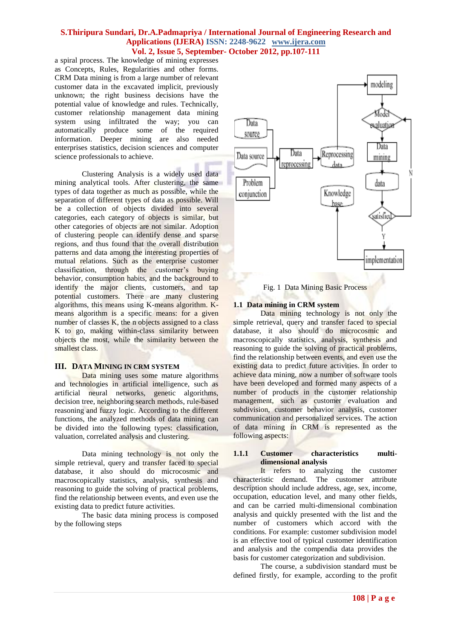a spiral process. The knowledge of mining expresses as Concepts, Rules, Regularities and other forms. CRM Data mining is from a large number of relevant customer data in the excavated implicit, previously unknown; the right business decisions have the potential value of knowledge and rules. Technically, customer relationship management data mining system using infiltrated the way; you can automatically produce some of the required information. Deeper mining are also needed enterprises statistics, decision sciences and computer science professionals to achieve.

Clustering Analysis is a widely used data mining analytical tools. After clustering, the same types of data together as much as possible, while the separation of different types of data as possible. Will be a collection of objects divided into several categories, each category of objects is similar, but other categories of objects are not similar. Adoption of clustering people can identify dense and sparse regions, and thus found that the overall distribution patterns and data among the interesting properties of mutual relations. Such as the enterprise customer classification, through the customer's buying behavior, consumption habits, and the background to identify the major clients, customers, and tap potential customers. There are many clustering algorithms, this means using K-means algorithm. Kmeans algorithm is a specific means: for a given number of classes  $K$ , the n objects assigned to a class K to go, making within-class similarity between objects the most, while the similarity between the smallest class.

#### **III. DATA MINING IN CRM SYSTEM**

Data mining uses some mature algorithms and technologies in artificial intelligence, such as artificial neural networks, genetic algorithms, decision tree, neighboring search methods, rule-based reasoning and fuzzy logic. According to the different functions, the analyzed methods of data mining can be divided into the following types: classification, valuation, correlated analysis and clustering.

Data mining technology is not only the simple retrieval, query and transfer faced to special database, it also should do microcosmic and macroscopically statistics, analysis, synthesis and reasoning to guide the solving of practical problems, find the relationship between events, and even use the existing data to predict future activities.

The basic data mining process is composed by the following steps



Fig. 1 Data Mining Basic Process

#### **1.1 Data mining in CRM system**

Data mining technology is not only the simple retrieval, query and transfer faced to special database, it also should do microcosmic and macroscopically statistics, analysis, synthesis and reasoning to guide the solving of practical problems, find the relationship between events, and even use the existing data to predict future activities. In order to achieve data mining, now a number of software tools have been developed and formed many aspects of a number of products in the customer relationship management, such as customer evaluation and subdivision, customer behavior analysis, customer communication and personalized services. The action of data mining in CRM is represented as the following aspects:

#### **1.1.1 Customer characteristics multidimensional analysis**

It refers to analyzing the customer characteristic demand. The customer attribute description should include address, age, sex, income, occupation, education level, and many other fields, and can be carried multi-dimensional combination analysis and quickly presented with the list and the number of customers which accord with the conditions. For example: customer subdivision model is an effective tool of typical customer identification and analysis and the compendia data provides the basis for customer categorization and subdivision.

The course, a subdivision standard must be defined firstly, for example, according to the profit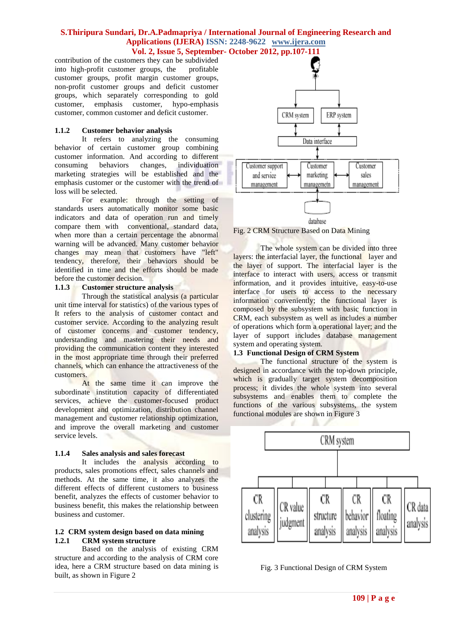contribution of the customers they can be subdivided into high-profit customer groups, the profitable customer groups, profit margin customer groups, non-profit customer groups and deficit customer groups, which separately corresponding to gold customer, emphasis customer, hypo-emphasis customer, common customer and deficit customer.

#### **1.1.2 Customer behavior analysis**

It refers to analyzing the consuming behavior of certain customer group combining customer information. And according to different consuming behaviors changes, individuation marketing strategies will be established and the emphasis customer or the customer with the trend of loss will be selected.

For example: through the setting of standards users automatically monitor some basic indicators and data of operation run and timely compare them with conventional, standard data, when more than a certain percentage the abnormal warning will be advanced. Many customer behavior changes may mean that customers have "left" tendency, therefore, their behaviors should be identified in time and the efforts should be made before the customer decision.

#### **1.1.3 Customer structure analysis**

Through the statistical analysis (a particular unit time interval for statistics) of the various types of It refers to the analysis of customer contact and customer service. According to the analyzing result of customer concerns and customer tendency, understanding and mastering their needs and providing the communication content they interested in the most appropriate time through their preferred channels, which can enhance the attractiveness of the customers.

At the same time it can improve the subordinate institution capacity of differentiated services, achieve the customer-focused product development and optimization, distribution channel management and customer relationship optimization, and improve the overall marketing and customer service levels.

# **1.1.4 Sales analysis and sales forecast**

It includes the analysis according to products, sales promotions effect, sales channels and methods. At the same time, it also analyzes the different effects of different customers to business benefit, analyzes the effects of customer behavior to business benefit, this makes the relationship between business and customer.

# **1.2 CRM system design based on data mining 1.2.1 CRM system structure**

Based on the analysis of existing CRM structure and according to the analysis of CRM core idea, here a CRM structure based on data mining is built, as shown in Figure 2



Fig. 2 CRM Structure Based on Data Mining

The whole system can be divided into three layers: the interfacial layer, the functional layer and the layer of support. The interfacial layer is the interface to interact with users, access or transmit information, and it provides intuitive, easy-to-use interface for users to access to the necessary information conveniently; the functional layer is composed by the subsystem with basic function in CRM, each subsystem as well as includes a number of operations which form a operational layer; and the layer of support includes database management system and operating system.

#### **1.3 Functional Design of CRM System**

The functional structure of the system is designed in accordance with the top-down principle, which is gradually target system decomposition process; it divides the whole system into several subsystems and enables them to complete the functions of the various subsystems, the system functional modules are shown in Figure 3



Fig. 3 Functional Design of CRM System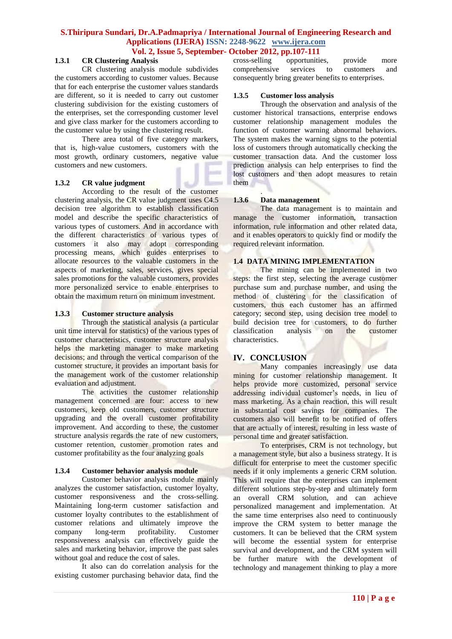#### **1.3.1 CR Clustering Analysis**

CR clustering analysis module subdivides the customers according to customer values. Because that for each enterprise the customer values standards are different, so it is needed to carry out customer clustering subdivision for the existing customers of the enterprises, set the corresponding customer level and give class marker for the customers according to the customer value by using the clustering result.

There area total of five category markers, that is, high-value customers, customers with the most growth, ordinary customers, negative value customers and new customers.

#### **1.3.2 CR value judgment**

According to the result of the customer clustering analysis, the CR value judgment uses C4.5 decision tree algorithm to establish classification model and describe the specific characteristics of various types of customers. And in accordance with the different characteristics of various types of customers it also may adopt corresponding processing means, which guides enterprises to allocate resources to the valuable customers in the aspects of marketing, sales, services, gives special sales promotions for the valuable customers, provides more personalized service to enable enterprises to obtain the maximum return on minimum investment.

#### **1.3.3 Customer structure analysis**

Through the statistical analysis (a particular unit time interval for statistics) of the various types of customer characteristics, customer structure analysis helps the marketing manager to make marketing decisions; and through the vertical comparison of the customer structure, it provides an important basis for the management work of the customer relationship evaluation and adjustment.

The activities the customer relationship management concerned are four: access to new customers, keep old customers, customer structure upgrading and the overall customer profitability improvement. And according to these, the customer structure analysis regards the rate of new customers, customer retention, customer promotion rates and customer profitability as the four analyzing goals

#### **1.3.4 Customer behavior analysis module**

Customer behavior analysis module mainly analyzes the customer satisfaction, customer loyalty, customer responsiveness and the cross-selling. Maintaining long-term customer satisfaction and customer loyalty contributes to the establishment of customer relations and ultimately improve the company long-term profitability. Customer responsiveness analysis can effectively guide the sales and marketing behavior, improve the past sales without goal and reduce the cost of sales.

It also can do correlation analysis for the existing customer purchasing behavior data, find the

opportunities, provide more comprehensive services to customers and consequently bring greater benefits to enterprises.

#### **1.3.5 Customer loss analysis**

Through the observation and analysis of the customer historical transactions, enterprise endows customer relationship management modules the function of customer warning abnormal behaviors. The system makes the warning signs to the potential loss of customers through automatically checking the customer transaction data. And the customer loss prediction analysis can help enterprises to find the lost customers and then adopt measures to retain them

#### . **1.3.6 Data management**

The data management is to maintain and manage the customer information, transaction information, rule information and other related data, and it enables operators to quickly find or modify the required relevant information.

#### **1.4 DATA MINING IMPLEMENTATION**

The mining can be implemented in two steps: the first step, selecting the average customer purchase sum and purchase number, and using the method of clustering for the classification of customers, thus each customer has an affirmed category; second step, using decision tree model to build decision tree for customers, to do further classification analysis on the customer characteristics.

# **IV. CONCLUSION**

Many companies increasingly use data mining for customer relationship management. It helps provide more customized, personal service addressing individual customer's needs, in lieu of mass marketing. As a chain reaction, this will result in substantial cost savings for companies. The customers also will benefit to be notified of offers that are actually of interest, resulting in less waste of personal time and greater satisfaction.

To enterprises, CRM is not technology, but a management style, but also a business strategy. It is difficult for enterprise to meet the customer specific needs if it only implements a generic CRM solution. This will require that the enterprises can implement different solutions step-by-step and ultimately form an overall CRM solution, and can achieve personalized management and implementation. At the same time enterprises also need to continuously improve the CRM system to better manage the customers. It can be believed that the CRM system will become the essential system for enterprise survival and development, and the CRM system will be further mature with the development of technology and management thinking to play a more